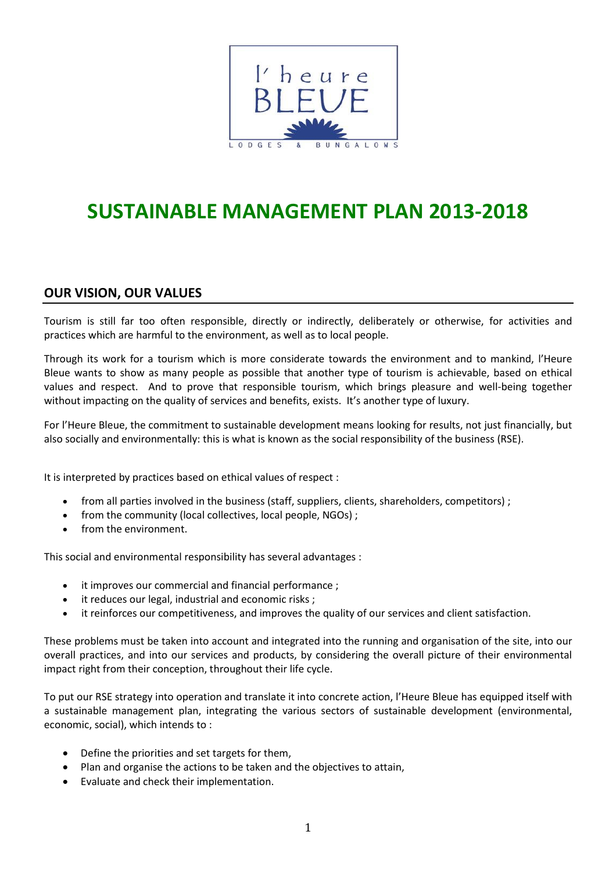

# **SUSTAINABLE MANAGEMENT PLAN 2013-2018**

### **OUR VISION, OUR VALUES**

Tourism is still far too often responsible, directly or indirectly, deliberately or otherwise, for activities and practices which are harmful to the environment, as well as to local people.

Through its work for a tourism which is more considerate towards the environment and to mankind, l'Heure Bleue wants to show as many people as possible that another type of tourism is achievable, based on ethical values and respect. And to prove that responsible tourism, which brings pleasure and well-being together without impacting on the quality of services and benefits, exists. It's another type of luxury.

For l'Heure Bleue, the commitment to sustainable development means looking for results, not just financially, but also socially and environmentally: this is what is known as the social responsibility of the business (RSE).

It is interpreted by practices based on ethical values of respect :

- from all parties involved in the business (staff, suppliers, clients, shareholders, competitors) ;
- from the community (local collectives, local people, NGOs) ;
- from the environment.

This social and environmental responsibility has several advantages :

- it improves our commercial and financial performance ;
- it reduces our legal, industrial and economic risks ;
- it reinforces our competitiveness, and improves the quality of our services and client satisfaction.

These problems must be taken into account and integrated into the running and organisation of the site, into our overall practices, and into our services and products, by considering the overall picture of their environmental impact right from their conception, throughout their life cycle.

To put our RSE strategy into operation and translate it into concrete action, l'Heure Bleue has equipped itself with a sustainable management plan, integrating the various sectors of sustainable development (environmental, economic, social), which intends to :

- Define the priorities and set targets for them,
- Plan and organise the actions to be taken and the objectives to attain,
- Evaluate and check their implementation.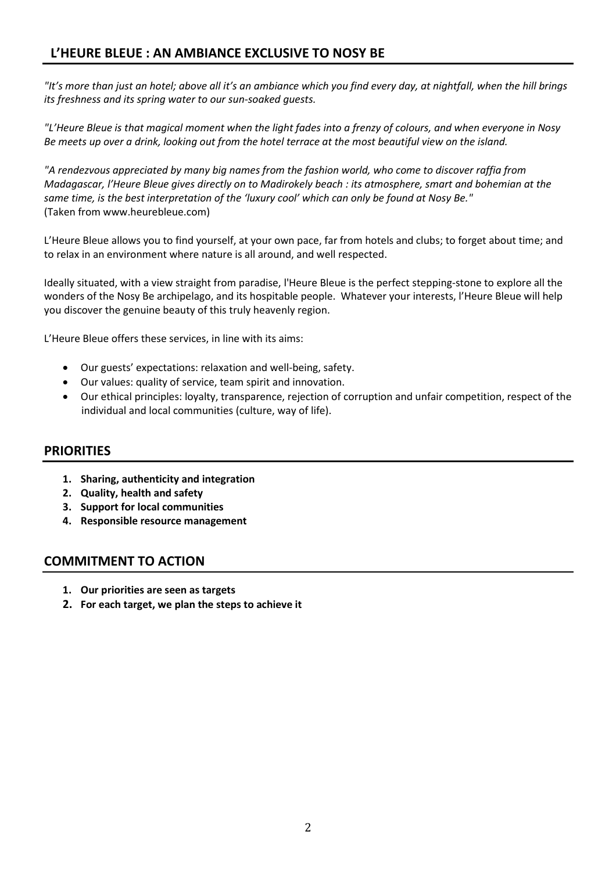### **L'HEURE BLEUE : AN AMBIANCE EXCLUSIVE TO NOSY BE**

*"It's more than just an hotel; above all it's an ambiance which you find every day, at nightfall, when the hill brings its freshness and its spring water to our sun-soaked guests.*

*"L'Heure Bleue is that magical moment when the light fades into a frenzy of colours, and when everyone in Nosy Be meets up over a drink, looking out from the hotel terrace at the most beautiful view on the island.* 

*"A rendezvous appreciated by many big names from the fashion world, who come to discover raffia from Madagascar, l'Heure Bleue gives directly on to Madirokely beach : its atmosphere, smart and bohemian at the same time, is the best interpretation of the 'luxury cool' which can only be found at Nosy Be."*  (Taken from www.heurebleue.com)

L'Heure Bleue allows you to find yourself, at your own pace, far from hotels and clubs; to forget about time; and to relax in an environment where nature is all around, and well respected.

Ideally situated, with a view straight from paradise, l'Heure Bleue is the perfect stepping-stone to explore all the wonders of the Nosy Be archipelago, and its hospitable people. Whatever your interests, l'Heure Bleue will help you discover the genuine beauty of this truly heavenly region.

L'Heure Bleue offers these services, in line with its aims:

- Our guests' expectations: relaxation and well-being, safety.
- Our values: quality of service, team spirit and innovation.
- Our ethical principles: loyalty, transparence, rejection of corruption and unfair competition, respect of the individual and local communities (culture, way of life).

### **PRIORITIES**

- **1. Sharing, authenticity and integration**
- **2. Quality, health and safety**
- **3. Support for local communities**
- **4. Responsible resource management**

### **COMMITMENT TO ACTION**

- **1. Our priorities are seen as targets**
- **2. For each target, we plan the steps to achieve it**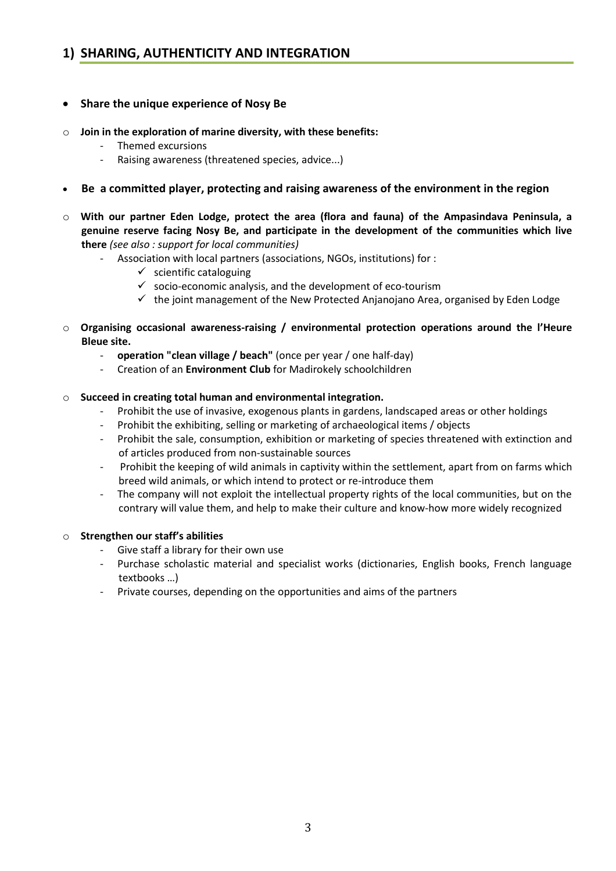### **1) SHARING, AUTHENTICITY AND INTEGRATION**

- **Share the unique experience of Nosy Be**
- o **Join in the exploration of marine diversity, with these benefits:** 
	- Themed excursions
	- Raising awareness (threatened species, advice...)
- **Be a committed player, protecting and raising awareness of the environment in the region**
- o **With our partner Eden Lodge, protect the area (flora and fauna) of the Ampasindava Peninsula, a genuine reserve facing Nosy Be, and participate in the development of the communities which live there** *(see also : support for local communities)*
	- Association with local partners (associations, NGOs, institutions) for :
		- $\checkmark$  scientific cataloguing
		- $\checkmark$  socio-economic analysis, and the development of eco-tourism
		- $\checkmark$  the joint management of the New Protected Anjanojano Area, organised by Eden Lodge
- o **Organising occasional awareness-raising / environmental protection operations around the l'Heure Bleue site.**
	- **operation "clean village / beach"** (once per year / one half-day)
	- Creation of an **Environment Club** for Madirokely schoolchildren
- o **Succeed in creating total human and environmental integration.**
	- Prohibit the use of invasive, exogenous plants in gardens, landscaped areas or other holdings
	- Prohibit the exhibiting, selling or marketing of archaeological items / objects
	- Prohibit the sale, consumption, exhibition or marketing of species threatened with extinction and of articles produced from non-sustainable sources
	- Prohibit the keeping of wild animals in captivity within the settlement, apart from on farms which breed wild animals, or which intend to protect or re-introduce them
	- The company will not exploit the intellectual property rights of the local communities, but on the contrary will value them, and help to make their culture and know-how more widely recognized

### o **Strengthen our staff's abilities**

- Give staff a library for their own use
- Purchase scholastic material and specialist works (dictionaries, English books, French language textbooks …)
- Private courses, depending on the opportunities and aims of the partners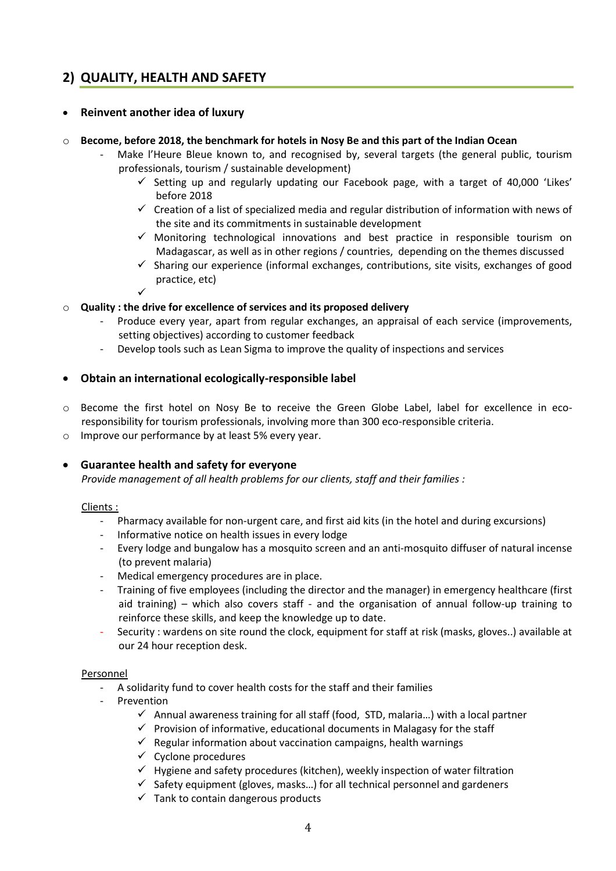## **2) QUALITY, HEALTH AND SAFETY**

### **Reinvent another idea of luxury**

### o **Become, before 2018, the benchmark for hotels in Nosy Be and this part of the Indian Ocean**

- Make l'Heure Bleue known to, and recognised by, several targets (the general public, tourism professionals, tourism / sustainable development)
	- $\checkmark$  Setting up and regularly updating our Facebook page, with a target of 40,000 'Likes' before 2018
	- $\checkmark$  Creation of a list of specialized media and regular distribution of information with news of the site and its commitments in sustainable development
	- $\checkmark$  Monitoring technological innovations and best practice in responsible tourism on Madagascar, as well as in other regions / countries, depending on the themes discussed
	- $\checkmark$  Sharing our experience (informal exchanges, contributions, site visits, exchanges of good practice, etc)
	- $\checkmark$

### o **Quality : the drive for excellence of services and its proposed delivery**

- Produce every year, apart from regular exchanges, an appraisal of each service (improvements, setting objectives) according to customer feedback
- Develop tools such as Lean Sigma to improve the quality of inspections and services

### **Obtain an international ecologically-responsible label**

- o Become the first hotel on Nosy Be to receive the Green Globe Label, label for excellence in ecoresponsibility for tourism professionals, involving more than 300 eco-responsible criteria.
- o Improve our performance by at least 5% every year.

### **Guarantee health and safety for everyone**

*Provide management of all health problems for our clients, staff and their families :*

### Clients :

- Pharmacy available for non-urgent care, and first aid kits (in the hotel and during excursions)
- Informative notice on health issues in every lodge
- Every lodge and bungalow has a mosquito screen and an anti-mosquito diffuser of natural incense (to prevent malaria)
- Medical emergency procedures are in place.
- Training of five employees (including the director and the manager) in emergency healthcare (first aid training) – which also covers staff - and the organisation of annual follow-up training to reinforce these skills, and keep the knowledge up to date.
- Security : wardens on site round the clock, equipment for staff at risk (masks, gloves..) available at our 24 hour reception desk.

### Personnel

- A solidarity fund to cover health costs for the staff and their families
- **Prevention** 
	- $\checkmark$  Annual awareness training for all staff (food, STD, malaria...) with a local partner
	- $\checkmark$  Provision of informative, educational documents in Malagasy for the staff
	- $\checkmark$  Regular information about vaccination campaigns, health warnings
	- $\checkmark$  Cyclone procedures
	- $\checkmark$  Hygiene and safety procedures (kitchen), weekly inspection of water filtration
	- $\checkmark$  Safety equipment (gloves, masks...) for all technical personnel and gardeners
	- $\checkmark$  Tank to contain dangerous products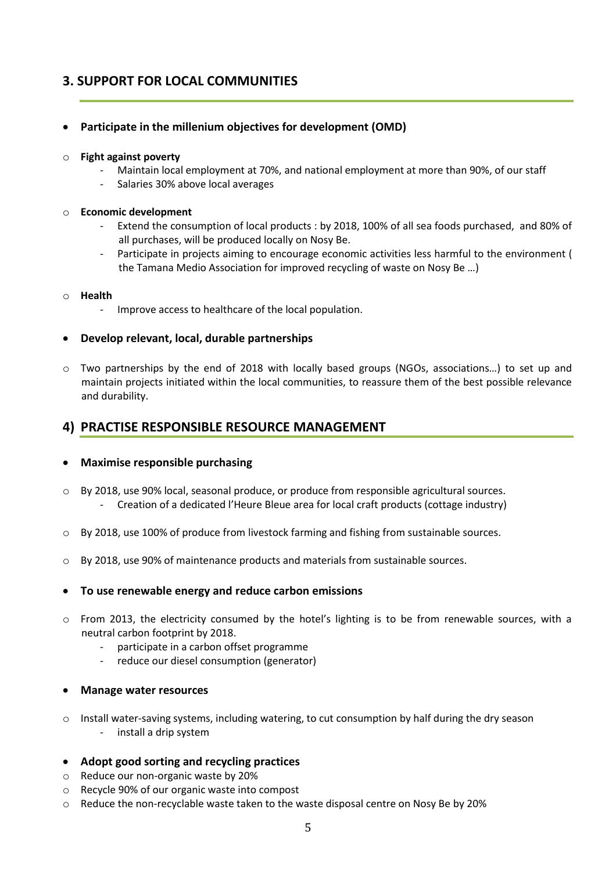### **3. SUPPORT FOR LOCAL COMMUNITIES**

### **Participate in the millenium objectives for development (OMD)**

### o **Fight against poverty**

- Maintain local employment at 70%, and national employment at more than 90%, of our staff
- Salaries 30% above local averages

### o **Economic development**

- Extend the consumption of local products : by 2018, 100% of all sea foods purchased, and 80% of all purchases, will be produced locally on Nosy Be.
- Participate in projects aiming to encourage economic activities less harmful to the environment ( the Tamana Medio Association for improved recycling of waste on Nosy Be …)

### o **Health**

- Improve access to healthcare of the local population.

### **Develop relevant, local, durable partnerships**

o Two partnerships by the end of 2018 with locally based groups (NGOs, associations…) to set up and maintain projects initiated within the local communities, to reassure them of the best possible relevance and durability.

### **4) PRACTISE RESPONSIBLE RESOURCE MANAGEMENT**

### **Maximise responsible purchasing**

- o By 2018, use 90% local, seasonal produce, or produce from responsible agricultural sources. - Creation of a dedicated l'Heure Bleue area for local craft products (cottage industry)
- o By 2018, use 100% of produce from livestock farming and fishing from sustainable sources.
- o By 2018, use 90% of maintenance products and materials from sustainable sources.

### **To use renewable energy and reduce carbon emissions**

- o From 2013, the electricity consumed by the hotel's lighting is to be from renewable sources, with a neutral carbon footprint by 2018.
	- participate in a carbon offset programme
	- reduce our diesel consumption (generator)

### **Manage water resources**

o Install water-saving systems, including watering, to cut consumption by half during the dry season - install a drip system

### **Adopt good sorting and recycling practices**

- o Reduce our non-organic waste by 20%
- o Recycle 90% of our organic waste into compost
- o Reduce the non-recyclable waste taken to the waste disposal centre on Nosy Be by 20%